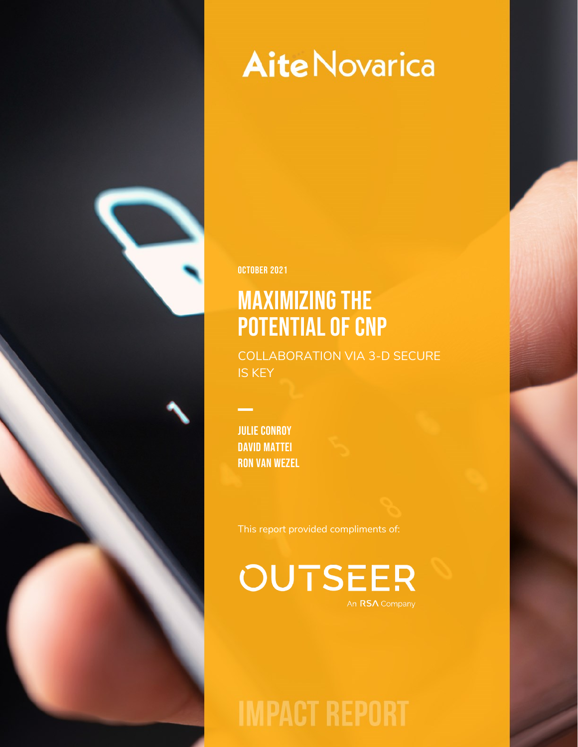OCTOBER 2021

## Maximizing the POTENTIAL OF CNP

COLLABORATION VIA 3-D SECURE IS KEY

Julie Conroy David Mattei Ron van Wezel

This report provided compliments of:

**OUTSEER** An RSA Company

**IMPACT REPORT**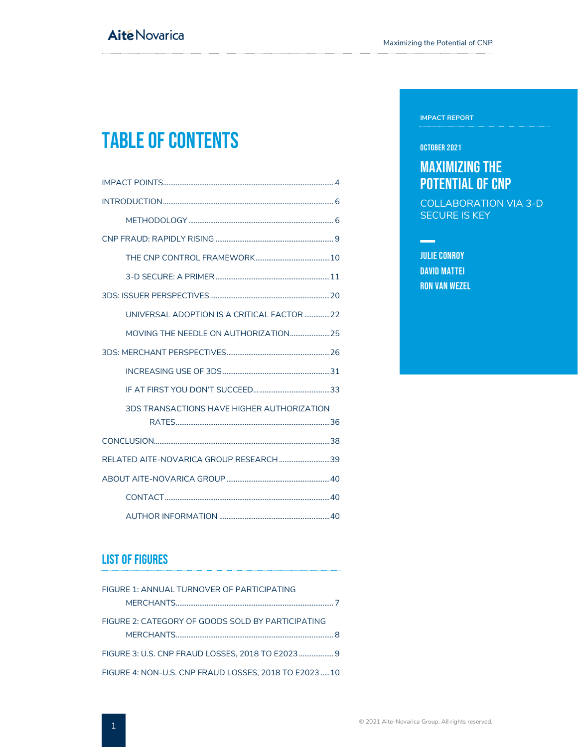## Table of Contents

| UNIVERSAL ADOPTION IS A CRITICAL FACTOR 22 |
|--------------------------------------------|
|                                            |
|                                            |
|                                            |
|                                            |
| 3DS TRANSACTIONS HAVE HIGHER AUTHORIZATION |
|                                            |
| RELATED AITE-NOVARICA GROUP RESEARCH39     |
|                                            |
|                                            |
|                                            |

### List of Figures

| FIGURE 1: ANNUAL TURNOVER OF PARTICIPATING            |  |
|-------------------------------------------------------|--|
|                                                       |  |
| FIGURE 2: CATEGORY OF GOODS SOLD BY PARTICIPATING     |  |
|                                                       |  |
| FIGURE 3: U.S. CNP FRAUD LOSSES, 2018 TO E2023  9     |  |
| FIGURE 4: NON-U.S. CNP FRAUD LOSSES, 2018 TO E2023 10 |  |

#### **IMPACT REPORT**

#### OCTOBER 2021

### Maximizing the POTENTIAL OF CNP

COLLABORATION VIA 3-D SECURE IS KEY

### Julie Conroy David Mattei Ron van Wezel

 $\frac{1}{2}$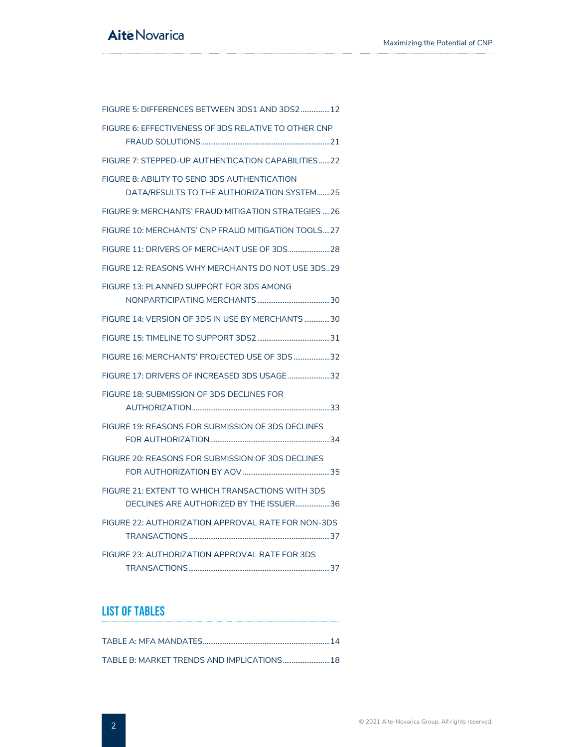| FIGURE 5: DIFFERENCES BETWEEN 3DS1 AND 3DS2 12                                              |
|---------------------------------------------------------------------------------------------|
| FIGURE 6: EFFECTIVENESS OF 3DS RELATIVE TO OTHER CNP                                        |
| FIGURE 7: STEPPED-UP AUTHENTICATION CAPABILITIES 22                                         |
| FIGURE 8: ABILITY TO SEND 3DS AUTHENTICATION<br>DATA/RESULTS TO THE AUTHORIZATION SYSTEM25  |
| FIGURE 9: MERCHANTS' FRAUD MITIGATION STRATEGIES 26                                         |
| FIGURE 10: MERCHANTS' CNP FRAUD MITIGATION TOOLS27                                          |
|                                                                                             |
| FIGURE 12: REASONS WHY MERCHANTS DO NOT USE 3DS29                                           |
| FIGURE 13: PLANNED SUPPORT FOR 3DS AMONG                                                    |
| FIGURE 14: VERSION OF 3DS IN USE BY MERCHANTS 30                                            |
|                                                                                             |
| FIGURE 16: MERCHANTS' PROJECTED USE OF 3DS 32                                               |
| FIGURE 17: DRIVERS OF INCREASED 3DS USAGE 32                                                |
| FIGURE 18: SUBMISSION OF 3DS DECLINES FOR                                                   |
| FIGURE 19: REASONS FOR SUBMISSION OF 3DS DECLINES                                           |
| FIGURE 20: REASONS FOR SUBMISSION OF 3DS DECLINES                                           |
| FIGURE 21: EXTENT TO WHICH TRANSACTIONS WITH 3DS<br>DECLINES ARE AUTHORIZED BY THE ISSUER36 |
| FIGURE 22: AUTHORIZATION APPROVAL RATE FOR NON-3DS                                          |
| FIGURE 23: AUTHORIZATION APPROVAL RATE FOR 3DS                                              |

### List of Tables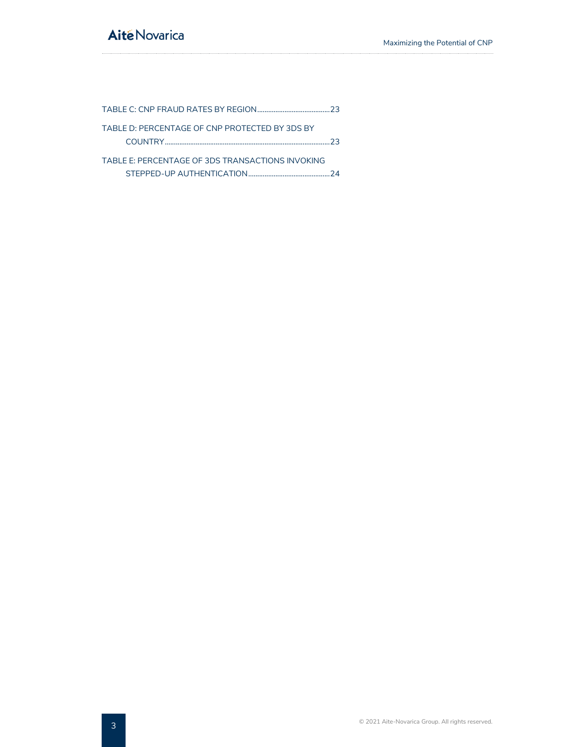| TABLE D: PERCENTAGE OF CNP PROTECTED BY 3DS BY   |    |
|--------------------------------------------------|----|
|                                                  | つっ |
| TABLE F: PERCENTAGE OF 3DS TRANSACTIONS INVOKING |    |
|                                                  |    |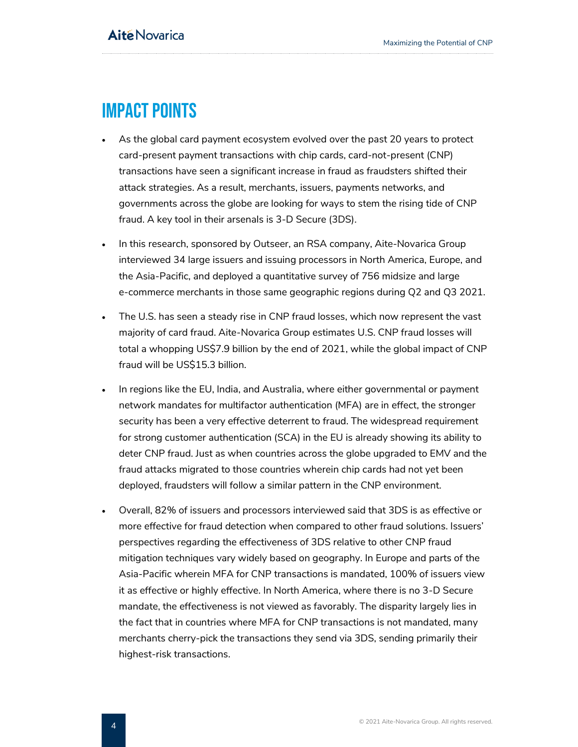## <span id="page-4-0"></span>Impact Points

- As the global card payment ecosystem evolved over the past 20 years to protect card-present payment transactions with chip cards, card-not-present (CNP) transactions have seen a significant increase in fraud as fraudsters shifted their attack strategies. As a result, merchants, issuers, payments networks, and governments across the globe are looking for ways to stem the rising tide of CNP fraud. A key tool in their arsenals is 3-D Secure (3DS).
- In this research, sponsored by Outseer, an RSA company, Aite-Novarica Group interviewed 34 large issuers and issuing processors in North America, Europe, and the Asia-Pacific, and deployed a quantitative survey of 756 midsize and large e-commerce merchants in those same geographic regions during Q2 and Q3 2021.
- The U.S. has seen a steady rise in CNP fraud losses, which now represent the vast majority of card fraud. Aite-Novarica Group estimates U.S. CNP fraud losses will total a whopping US\$7.9 billion by the end of 2021, while the global impact of CNP fraud will be US\$15.3 billion.
- In regions like the EU, India, and Australia, where either governmental or payment network mandates for multifactor authentication (MFA) are in effect, the stronger security has been a very effective deterrent to fraud. The widespread requirement for strong customer authentication (SCA) in the EU is already showing its ability to deter CNP fraud. Just as when countries across the globe upgraded to EMV and the fraud attacks migrated to those countries wherein chip cards had not yet been deployed, fraudsters will follow a similar pattern in the CNP environment.
- Overall, 82% of issuers and processors interviewed said that 3DS is as effective or more effective for fraud detection when compared to other fraud solutions. Issuers' perspectives regarding the effectiveness of 3DS relative to other CNP fraud mitigation techniques vary widely based on geography. In Europe and parts of the Asia-Pacific wherein MFA for CNP transactions is mandated, 100% of issuers view it as effective or highly effective. In North America, where there is no 3-D Secure mandate, the effectiveness is not viewed as favorably. The disparity largely lies in the fact that in countries where MFA for CNP transactions is not mandated, many merchants cherry-pick the transactions they send via 3DS, sending primarily their highest-risk transactions.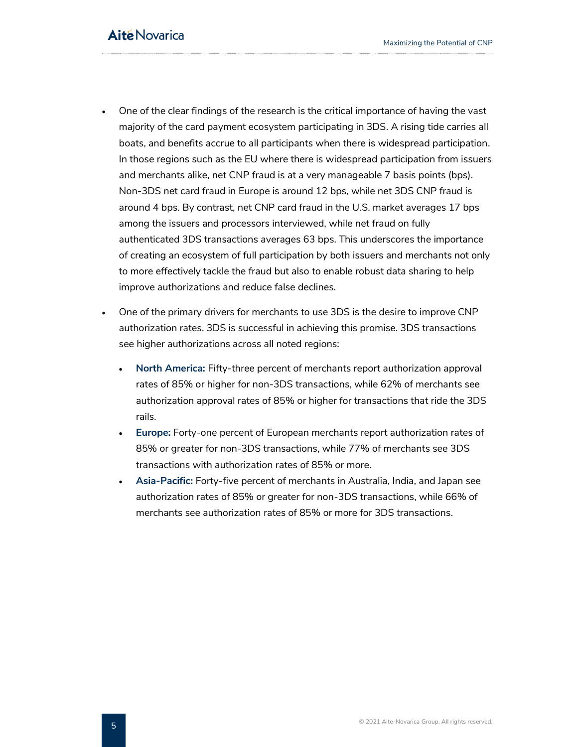- One of the clear findings of the research is the critical importance of having the vast majority of the card payment ecosystem participating in 3DS. A rising tide carries all boats, and benefits accrue to all participants when there is widespread participation. In those regions such as the EU where there is widespread participation from issuers and merchants alike, net CNP fraud is at a very manageable 7 basis points (bps). Non-3DS net card fraud in Europe is around 12 bps, while net 3DS CNP fraud is around 4 bps. By contrast, net CNP card fraud in the U.S. market averages 17 bps among the issuers and processors interviewed, while net fraud on fully authenticated 3DS transactions averages 63 bps. This underscores the importance of creating an ecosystem of full participation by both issuers and merchants not only to more effectively tackle the fraud but also to enable robust data sharing to help improve authorizations and reduce false declines.
- One of the primary drivers for merchants to use 3DS is the desire to improve CNP authorization rates. 3DS is successful in achieving this promise. 3DS transactions see higher authorizations across all noted regions:
	- **North America:** Fifty-three percent of merchants report authorization approval rates of 85% or higher for non-3DS transactions, while 62% of merchants see authorization approval rates of 85% or higher for transactions that ride the 3DS rails.
	- **Europe:** Forty-one percent of European merchants report authorization rates of 85% or greater for non-3DS transactions, while 77% of merchants see 3DS transactions with authorization rates of 85% or more.
	- **Asia-Pacific:** Forty-five percent of merchants in Australia, India, and Japan see authorization rates of 85% or greater for non-3DS transactions, while 66% of merchants see authorization rates of 85% or more for 3DS transactions.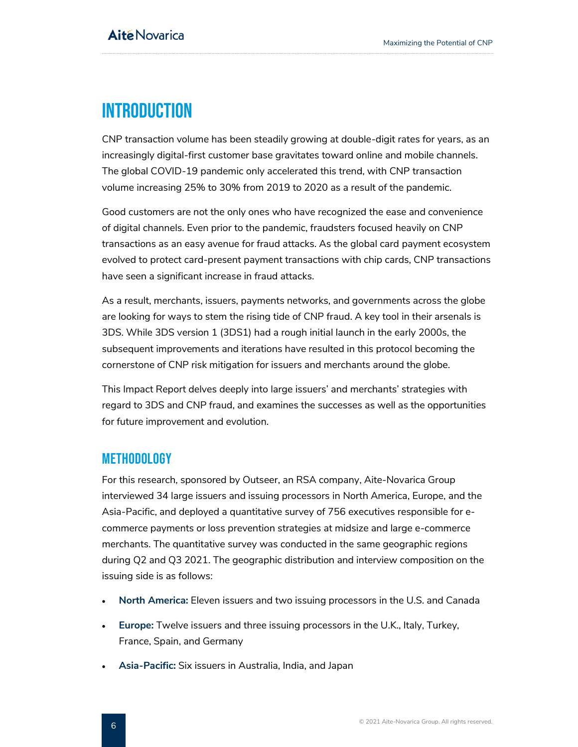## <span id="page-6-0"></span>**INTRODUCTION**

CNP transaction volume has been steadily growing at double-digit rates for years, as an increasingly digital-first customer base gravitates toward online and mobile channels. The global COVID-19 pandemic only accelerated this trend, with CNP transaction volume increasing 25% to 30% from 2019 to 2020 as a result of the pandemic.

Good customers are not the only ones who have recognized the ease and convenience of digital channels. Even prior to the pandemic, fraudsters focused heavily on CNP transactions as an easy avenue for fraud attacks. As the global card payment ecosystem evolved to protect card-present payment transactions with chip cards, CNP transactions have seen a significant increase in fraud attacks.

As a result, merchants, issuers, payments networks, and governments across the globe are looking for ways to stem the rising tide of CNP fraud. A key tool in their arsenals is 3DS. While 3DS version 1 (3DS1) had a rough initial launch in the early 2000s, the subsequent improvements and iterations have resulted in this protocol becoming the cornerstone of CNP risk mitigation for issuers and merchants around the globe.

This Impact Report delves deeply into large issuers' and merchants' strategies with regard to 3DS and CNP fraud, and examines the successes as well as the opportunities for future improvement and evolution.

### <span id="page-6-1"></span>Methodology

For this research, sponsored by Outseer, an RSA company, Aite-Novarica Group interviewed 34 large issuers and issuing processors in North America, Europe, and the Asia-Pacific, and deployed a quantitative survey of 756 executives responsible for ecommerce payments or loss prevention strategies at midsize and large e-commerce merchants. The quantitative survey was conducted in the same geographic regions during Q2 and Q3 2021. The geographic distribution and interview composition on the issuing side is as follows:

- **North America:** Eleven issuers and two issuing processors in the U.S. and Canada
- **Europe:** Twelve issuers and three issuing processors in the U.K., Italy, Turkey, France, Spain, and Germany
- **Asia-Pacific:** Six issuers in Australia, India, and Japan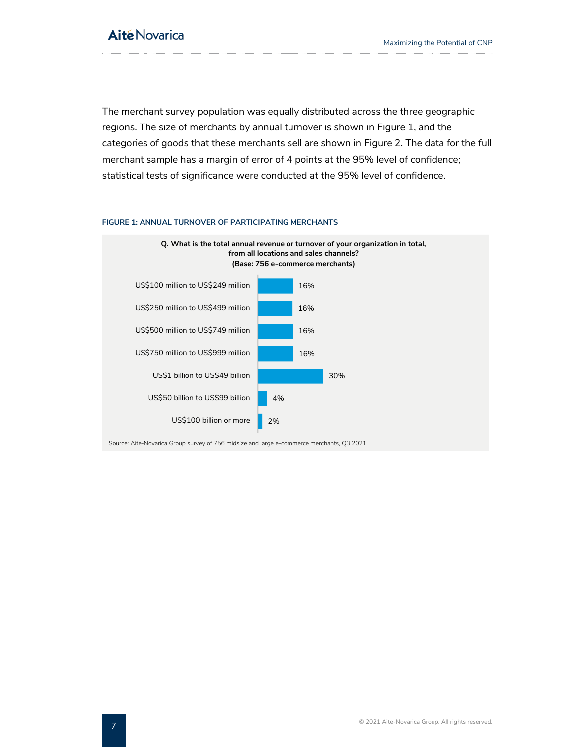The merchant survey population was equally distributed across the three geographic regions. The size of merchants by annual turnover is shown in [Figure 1,](#page-7-0) and the categories of goods that these merchants sell are shown in Figure 2. The data for the full merchant sample has a margin of error of 4 points at the 95% level of confidence; statistical tests of significance were conducted at the 95% level of confidence.



#### <span id="page-7-0"></span>**FIGURE 1: ANNUAL TURNOVER OF PARTICIPATING MERCHANTS**

Source: Aite-Novarica Group survey of 756 midsize and large e-commerce merchants, Q3 2021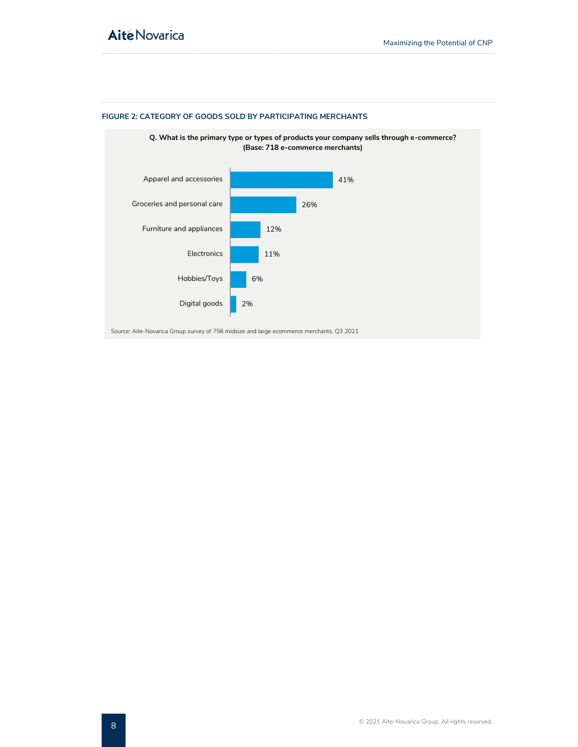

### <span id="page-8-0"></span>**FIGURE 2: CATEGORY OF GOODS SOLD BY PARTICIPATING MERCHANTS**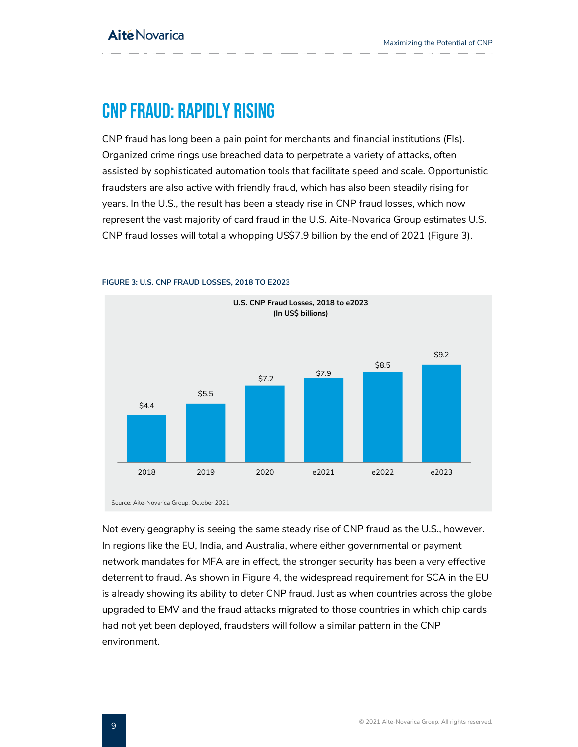## <span id="page-9-0"></span>CNP Fraud: Rapidly Rising

CNP fraud has long been a pain point for merchants and financial institutions (FIs). Organized crime rings use breached data to perpetrate a variety of attacks, often assisted by sophisticated automation tools that facilitate speed and scale. Opportunistic fraudsters are also active with friendly fraud, which has also been steadily rising for years. In the U.S., the result has been a steady rise in CNP fraud losses, which now represent the vast majority of card fraud in the U.S. Aite-Novarica Group estimates U.S. CNP fraud losses will total a whopping US\$7.9 billion by the end of 2021 (Figure 3).



#### <span id="page-9-1"></span>**FIGURE 3: U.S. CNP FRAUD LOSSES, 2018 TO E2023**

Source: Aite-Novarica Group, October 2021

Not every geography is seeing the same steady rise of CNP fraud as the U.S., however. In regions like the EU, India, and Australia, where either governmental or payment network mandates for MFA are in effect, the stronger security has been a very effective deterrent to fraud. As shown in Figure 4, the widespread requirement for SCA in the EU is already showing its ability to deter CNP fraud. Just as when countries across the globe upgraded to EMV and the fraud attacks migrated to those countries in which chip cards had not yet been deployed, fraudsters will follow a similar pattern in the CNP environment.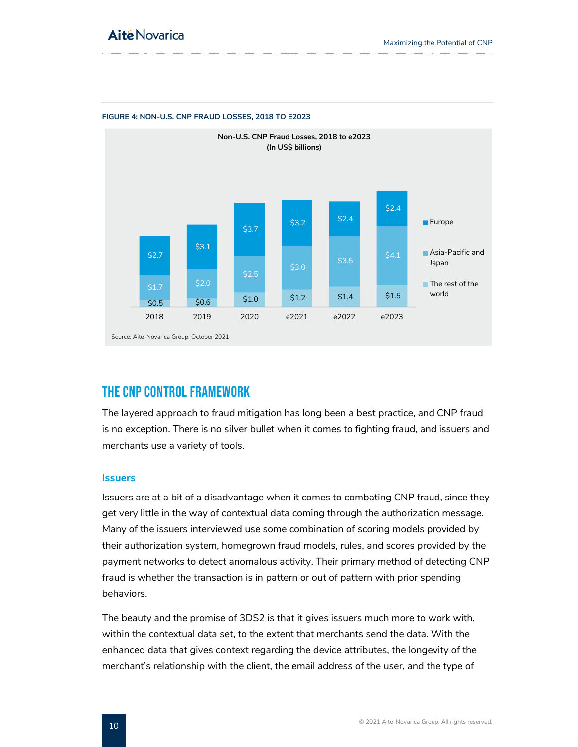

#### <span id="page-10-1"></span>**FIGURE 4: NON-U.S. CNP FRAUD LOSSES, 2018 TO E2023**

### <span id="page-10-0"></span>The CNP Control Framework

The layered approach to fraud mitigation has long been a best practice, and CNP fraud is no exception. There is no silver bullet when it comes to fighting fraud, and issuers and merchants use a variety of tools.

#### **Issuers**

Issuers are at a bit of a disadvantage when it comes to combating CNP fraud, since they get very little in the way of contextual data coming through the authorization message. Many of the issuers interviewed use some combination of scoring models provided by their authorization system, homegrown fraud models, rules, and scores provided by the payment networks to detect anomalous activity. Their primary method of detecting CNP fraud is whether the transaction is in pattern or out of pattern with prior spending behaviors.

The beauty and the promise of 3DS2 is that it gives issuers much more to work with, within the contextual data set, to the extent that merchants send the data. With the enhanced data that gives context regarding the device attributes, the longevity of the merchant's relationship with the client, the email address of the user, and the type of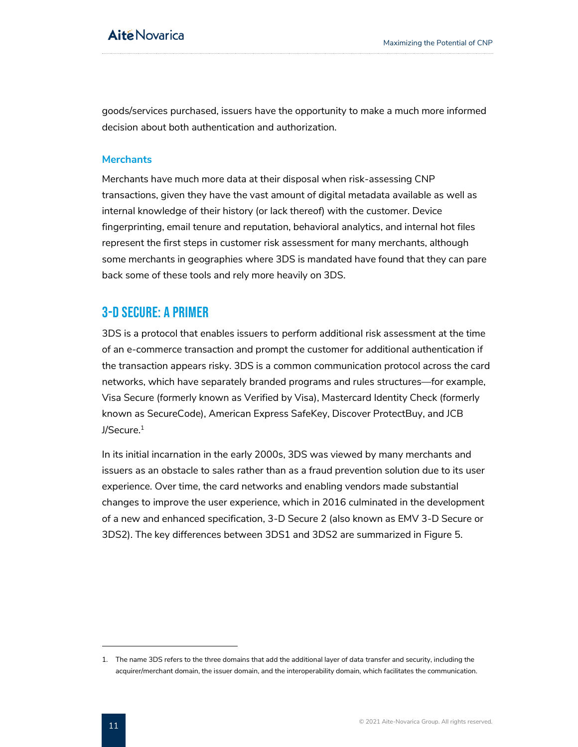goods/services purchased, issuers have the opportunity to make a much more informed decision about both authentication and authorization.

### **Merchants**

Merchants have much more data at their disposal when risk-assessing CNP transactions, given they have the vast amount of digital metadata available as well as internal knowledge of their history (or lack thereof) with the customer. Device fingerprinting, email tenure and reputation, behavioral analytics, and internal hot files represent the first steps in customer risk assessment for many merchants, although some merchants in geographies where 3DS is mandated have found that they can pare back some of these tools and rely more heavily on 3DS.

### <span id="page-11-0"></span>3-D Secure: A Primer

3DS is a protocol that enables issuers to perform additional risk assessment at the time of an e-commerce transaction and prompt the customer for additional authentication if the transaction appears risky. 3DS is a common communication protocol across the card networks, which have separately branded programs and rules structures—for example, Visa Secure (formerly known as Verified by Visa), Mastercard Identity Check (formerly known as SecureCode), American Express SafeKey, Discover ProtectBuy, and JCB J/Secure. 1

In its initial incarnation in the early 2000s, 3DS was viewed by many merchants and issuers as an obstacle to sales rather than as a fraud prevention solution due to its user experience. Over time, the card networks and enabling vendors made substantial changes to improve the user experience, which in 2016 culminated in the development of a new and enhanced specification, 3-D Secure 2 (also known as EMV 3-D Secure or 3DS2). The key differences between 3DS1 and 3DS2 are summarized in Figure 5.

<sup>1.</sup> The name 3DS refers to the three domains that add the additional layer of data transfer and security, including the acquirer/merchant domain, the issuer domain, and the interoperability domain, which facilitates the communication.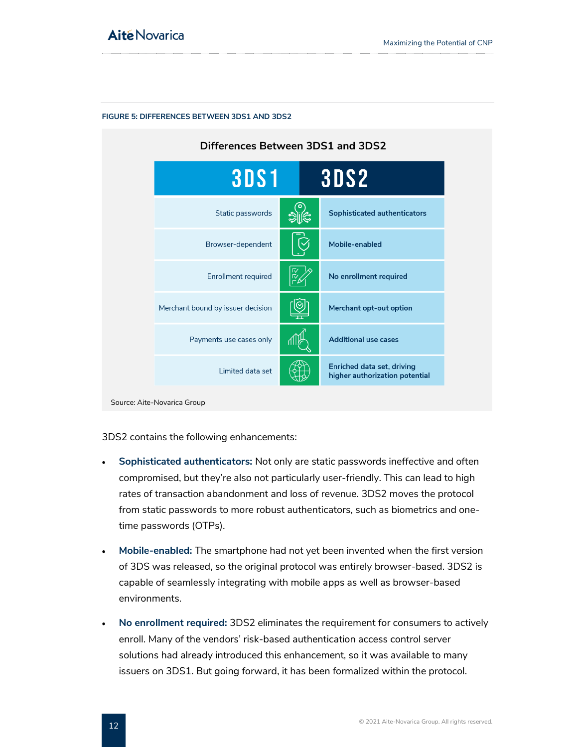

#### <span id="page-12-0"></span>**FIGURE 5: DIFFERENCES BETWEEN 3DS1 AND 3DS2**

Source: Aite-Novarica Group

3DS2 contains the following enhancements:

- **Sophisticated authenticators:** Not only are static passwords ineffective and often compromised, but they're also not particularly user-friendly. This can lead to high rates of transaction abandonment and loss of revenue. 3DS2 moves the protocol from static passwords to more robust authenticators, such as biometrics and onetime passwords (OTPs).
- **Mobile-enabled:** The smartphone had not yet been invented when the first version of 3DS was released, so the original protocol was entirely browser-based. 3DS2 is capable of seamlessly integrating with mobile apps as well as browser-based environments.
- **No enrollment required:** 3DS2 eliminates the requirement for consumers to actively enroll. Many of the vendors' risk-based authentication access control server solutions had already introduced this enhancement, so it was available to many issuers on 3DS1. But going forward, it has been formalized within the protocol.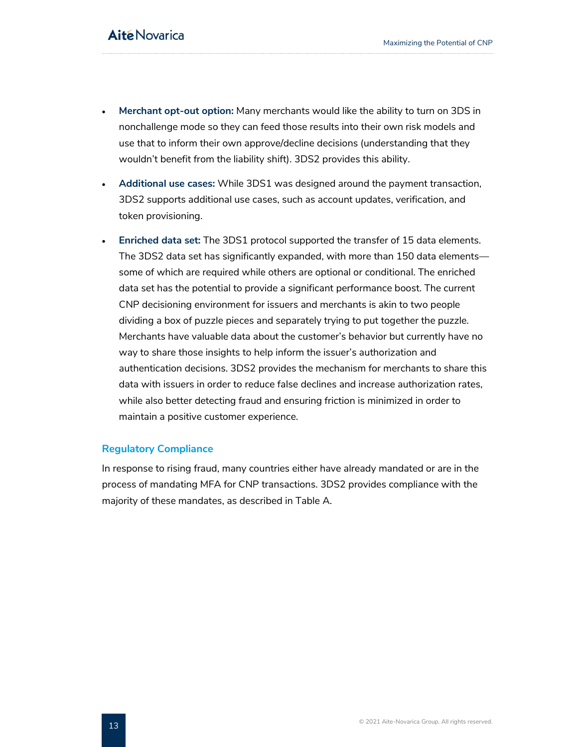- **Merchant opt-out option:** Many merchants would like the ability to turn on 3DS in nonchallenge mode so they can feed those results into their own risk models and use that to inform their own approve/decline decisions (understanding that they wouldn't benefit from the liability shift). 3DS2 provides this ability.
- **Additional use cases:** While 3DS1 was designed around the payment transaction, 3DS2 supports additional use cases, such as account updates, verification, and token provisioning.
- **Enriched data set:** The 3DS1 protocol supported the transfer of 15 data elements. The 3DS2 data set has significantly expanded, with more than 150 data elements some of which are required while others are optional or conditional. The enriched data set has the potential to provide a significant performance boost. The current CNP decisioning environment for issuers and merchants is akin to two people dividing a box of puzzle pieces and separately trying to put together the puzzle. Merchants have valuable data about the customer's behavior but currently have no way to share those insights to help inform the issuer's authorization and authentication decisions. 3DS2 provides the mechanism for merchants to share this data with issuers in order to reduce false declines and increase authorization rates, while also better detecting fraud and ensuring friction is minimized in order to maintain a positive customer experience.

### **Regulatory Compliance**

In response to rising fraud, many countries either have already mandated or are in the process of mandating MFA for CNP transactions. 3DS2 provides compliance with the majority of these mandates, as described in [Table A.](#page-14-0)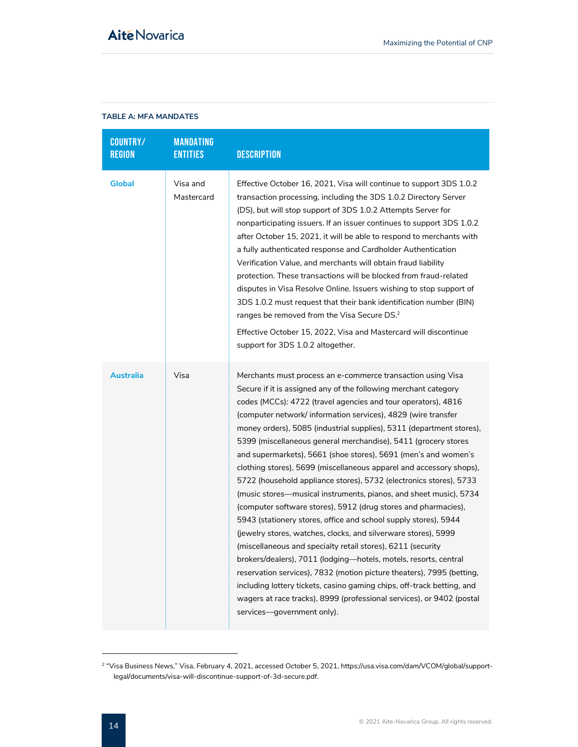### <span id="page-14-0"></span>**TABLE A: MFA MANDATES**

| <b>COUNTRY/</b><br><b>REGION</b> | <b>MANDATING</b><br><b>ENTITIES</b> | <b>DESCRIPTION</b>                                                                                                                                                                                                                                                                                                                                                                                                                                                                                                                                                                                                                                                                                                                                                                                                                                                                                                                                                                                                                                                                                                                                                                                                                                                                                |
|----------------------------------|-------------------------------------|---------------------------------------------------------------------------------------------------------------------------------------------------------------------------------------------------------------------------------------------------------------------------------------------------------------------------------------------------------------------------------------------------------------------------------------------------------------------------------------------------------------------------------------------------------------------------------------------------------------------------------------------------------------------------------------------------------------------------------------------------------------------------------------------------------------------------------------------------------------------------------------------------------------------------------------------------------------------------------------------------------------------------------------------------------------------------------------------------------------------------------------------------------------------------------------------------------------------------------------------------------------------------------------------------|
| <b>Global</b>                    | Visa and<br>Mastercard              | Effective October 16, 2021, Visa will continue to support 3DS 1.0.2<br>transaction processing, including the 3DS 1.0.2 Directory Server<br>(DS), but will stop support of 3DS 1.0.2 Attempts Server for<br>nonparticipating issuers. If an issuer continues to support 3DS 1.0.2<br>after October 15, 2021, it will be able to respond to merchants with<br>a fully authenticated response and Cardholder Authentication<br>Verification Value, and merchants will obtain fraud liability<br>protection. These transactions will be blocked from fraud-related<br>disputes in Visa Resolve Online. Issuers wishing to stop support of<br>3DS 1.0.2 must request that their bank identification number (BIN)<br>ranges be removed from the Visa Secure DS. <sup>2</sup><br>Effective October 15, 2022, Visa and Mastercard will discontinue<br>support for 3DS 1.0.2 altogether.                                                                                                                                                                                                                                                                                                                                                                                                                   |
| Australia                        | Visa                                | Merchants must process an e-commerce transaction using Visa<br>Secure if it is assigned any of the following merchant category<br>codes (MCCs): 4722 (travel agencies and tour operators), 4816<br>(computer network/information services), 4829 (wire transfer<br>money orders), 5085 (industrial supplies), 5311 (department stores),<br>5399 (miscellaneous general merchandise), 5411 (grocery stores<br>and supermarkets), 5661 (shoe stores), 5691 (men's and women's<br>clothing stores), 5699 (miscellaneous apparel and accessory shops),<br>5722 (household appliance stores), 5732 (electronics stores), 5733<br>(music stores—musical instruments, pianos, and sheet music), 5734<br>(computer software stores), 5912 (drug stores and pharmacies),<br>5943 (stationery stores, office and school supply stores), 5944<br>(jewelry stores, watches, clocks, and silverware stores), 5999<br>(miscellaneous and specialty retail stores), 6211 (security<br>brokers/dealers), 7011 (lodging-hotels, motels, resorts, central<br>reservation services), 7832 (motion picture theaters), 7995 (betting,<br>including lottery tickets, casino gaming chips, off-track betting, and<br>wagers at race tracks), 8999 (professional services), or 9402 (postal<br>services-government only). |

<sup>2</sup> "Visa Business News," Visa, February 4, 2021, accessed October 5, 2021, https://usa.visa.com/dam/VCOM/global/supportlegal/documents/visa-will-discontinue-support-of-3d-secure.pdf.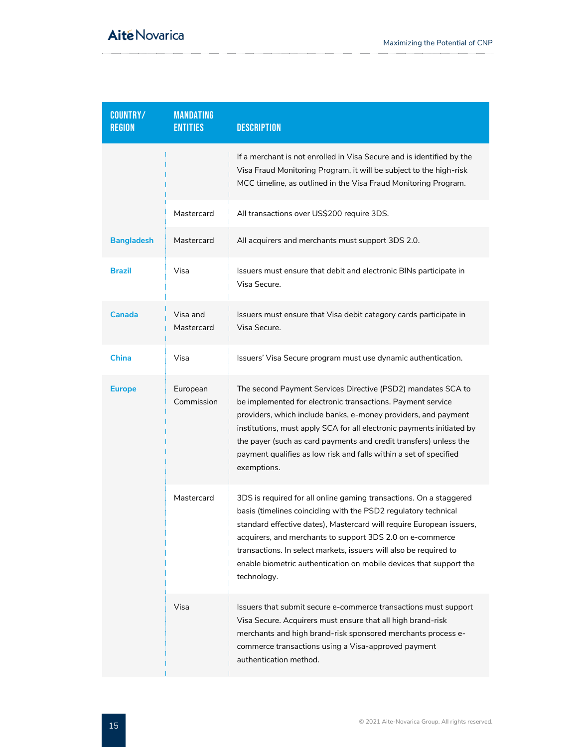| <b>COUNTRY/</b><br><b>REGION</b> | <b>MANDATING</b><br><b>ENTITIES</b> | <b>DESCRIPTION</b>                                                                                                                                                                                                                                                                                                                                                                                                                  |
|----------------------------------|-------------------------------------|-------------------------------------------------------------------------------------------------------------------------------------------------------------------------------------------------------------------------------------------------------------------------------------------------------------------------------------------------------------------------------------------------------------------------------------|
|                                  |                                     | If a merchant is not enrolled in Visa Secure and is identified by the<br>Visa Fraud Monitoring Program, it will be subject to the high-risk<br>MCC timeline, as outlined in the Visa Fraud Monitoring Program.                                                                                                                                                                                                                      |
|                                  | Mastercard                          | All transactions over US\$200 require 3DS.                                                                                                                                                                                                                                                                                                                                                                                          |
| <b>Bangladesh</b>                | Mastercard                          | All acquirers and merchants must support 3DS 2.0.                                                                                                                                                                                                                                                                                                                                                                                   |
| <b>Brazil</b>                    | Visa                                | Issuers must ensure that debit and electronic BINs participate in<br>Visa Secure.                                                                                                                                                                                                                                                                                                                                                   |
| Canada                           | Visa and<br>Mastercard              | Issuers must ensure that Visa debit category cards participate in<br>Visa Secure.                                                                                                                                                                                                                                                                                                                                                   |
| <b>China</b>                     | Visa                                | Issuers' Visa Secure program must use dynamic authentication.                                                                                                                                                                                                                                                                                                                                                                       |
| <b>Europe</b>                    | European<br>Commission              | The second Payment Services Directive (PSD2) mandates SCA to<br>be implemented for electronic transactions. Payment service<br>providers, which include banks, e-money providers, and payment<br>institutions, must apply SCA for all electronic payments initiated by<br>the payer (such as card payments and credit transfers) unless the<br>payment qualifies as low risk and falls within a set of specified<br>exemptions.     |
|                                  | Mastercard                          | 3DS is required for all online gaming transactions. On a staggered<br>basis (timelines coinciding with the PSD2 regulatory technical<br>standard effective dates), Mastercard will require European issuers,<br>acquirers, and merchants to support 3DS 2.0 on e-commerce<br>transactions. In select markets, issuers will also be required to<br>enable biometric authentication on mobile devices that support the<br>technology. |
|                                  | Visa                                | Issuers that submit secure e-commerce transactions must support<br>Visa Secure. Acquirers must ensure that all high brand-risk<br>merchants and high brand-risk sponsored merchants process e-<br>commerce transactions using a Visa-approved payment<br>authentication method.                                                                                                                                                     |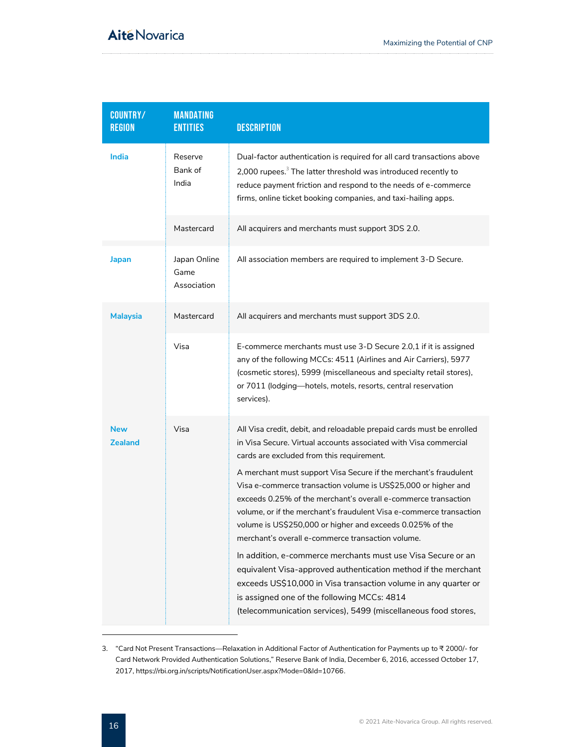| <b>COUNTRY/</b><br><b>REGION</b> | <b>MANDATING</b><br><b>ENTITIES</b> | <b>DESCRIPTION</b>                                                                                                                                                                                                                                                                                                                                                                                                                                                                                                                                                                                                                                                                                                                                                                                                                                                                                            |
|----------------------------------|-------------------------------------|---------------------------------------------------------------------------------------------------------------------------------------------------------------------------------------------------------------------------------------------------------------------------------------------------------------------------------------------------------------------------------------------------------------------------------------------------------------------------------------------------------------------------------------------------------------------------------------------------------------------------------------------------------------------------------------------------------------------------------------------------------------------------------------------------------------------------------------------------------------------------------------------------------------|
| India                            | Reserve<br>Bank of<br>India         | Dual-factor authentication is required for all card transactions above<br>2,000 rupees. <sup>3</sup> The latter threshold was introduced recently to<br>reduce payment friction and respond to the needs of e-commerce<br>firms, online ticket booking companies, and taxi-hailing apps.                                                                                                                                                                                                                                                                                                                                                                                                                                                                                                                                                                                                                      |
|                                  | Mastercard                          | All acquirers and merchants must support 3DS 2.0.                                                                                                                                                                                                                                                                                                                                                                                                                                                                                                                                                                                                                                                                                                                                                                                                                                                             |
| <b>Japan</b>                     | Japan Online<br>Game<br>Association | All association members are required to implement 3-D Secure.                                                                                                                                                                                                                                                                                                                                                                                                                                                                                                                                                                                                                                                                                                                                                                                                                                                 |
| <b>Malaysia</b>                  | Mastercard                          | All acquirers and merchants must support 3DS 2.0.                                                                                                                                                                                                                                                                                                                                                                                                                                                                                                                                                                                                                                                                                                                                                                                                                                                             |
|                                  | Visa                                | E-commerce merchants must use 3-D Secure 2.0,1 if it is assigned<br>any of the following MCCs: 4511 (Airlines and Air Carriers), 5977<br>(cosmetic stores), 5999 (miscellaneous and specialty retail stores),<br>or 7011 (lodging-hotels, motels, resorts, central reservation<br>services).                                                                                                                                                                                                                                                                                                                                                                                                                                                                                                                                                                                                                  |
| <b>New</b><br><b>Zealand</b>     | Visa                                | All Visa credit, debit, and reloadable prepaid cards must be enrolled<br>in Visa Secure. Virtual accounts associated with Visa commercial<br>cards are excluded from this requirement.<br>A merchant must support Visa Secure if the merchant's fraudulent<br>Visa e-commerce transaction volume is US\$25,000 or higher and<br>exceeds 0.25% of the merchant's overall e-commerce transaction<br>volume, or if the merchant's fraudulent Visa e-commerce transaction<br>volume is US\$250,000 or higher and exceeds 0.025% of the<br>merchant's overall e-commerce transaction volume.<br>In addition, e-commerce merchants must use Visa Secure or an<br>equivalent Visa-approved authentication method if the merchant<br>exceeds US\$10,000 in Visa transaction volume in any quarter or<br>is assigned one of the following MCCs: 4814<br>(telecommunication services), 5499 (miscellaneous food stores, |

<sup>3.</sup> "Card Not Present Transactions—Relaxation in Additional Factor of Authentication for Payments up to ₹ 2000/- for Card Network Provided Authentication Solutions," Reserve Bank of India, December 6, 2016, accessed October 17, 2017, https://rbi.org.in/scripts/NotificationUser.aspx?Mode=0&Id=10766.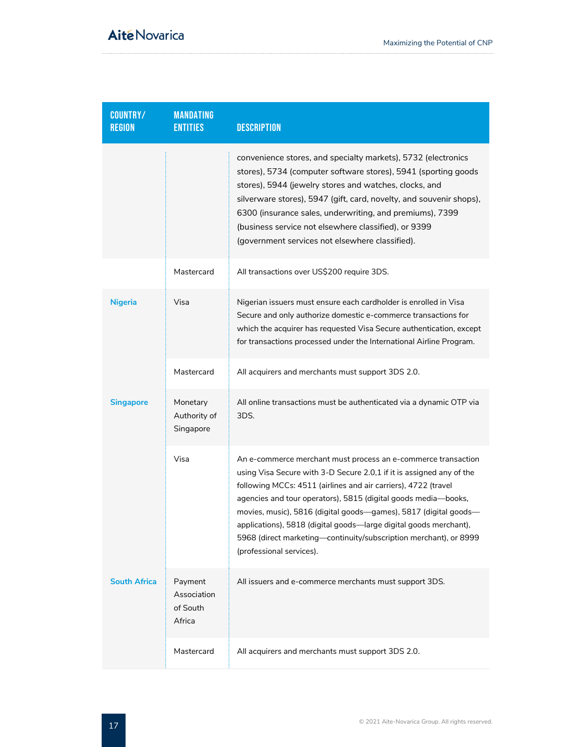| <b>COUNTRY/</b><br><b>REGION</b> | <b>MANDATING</b><br><b>ENTITIES</b>          | <b>DESCRIPTION</b>                                                                                                                                                                                                                                                                                                                                                                                                                                                                                                  |
|----------------------------------|----------------------------------------------|---------------------------------------------------------------------------------------------------------------------------------------------------------------------------------------------------------------------------------------------------------------------------------------------------------------------------------------------------------------------------------------------------------------------------------------------------------------------------------------------------------------------|
|                                  |                                              | convenience stores, and specialty markets), 5732 (electronics<br>stores), 5734 (computer software stores), 5941 (sporting goods<br>stores), 5944 (jewelry stores and watches, clocks, and<br>silverware stores), 5947 (gift, card, novelty, and souvenir shops),<br>6300 (insurance sales, underwriting, and premiums), 7399<br>(business service not elsewhere classified), or 9399<br>(government services not elsewhere classified).                                                                             |
|                                  | Mastercard                                   | All transactions over US\$200 require 3DS.                                                                                                                                                                                                                                                                                                                                                                                                                                                                          |
| <b>Nigeria</b>                   | Visa                                         | Nigerian issuers must ensure each cardholder is enrolled in Visa<br>Secure and only authorize domestic e-commerce transactions for<br>which the acquirer has requested Visa Secure authentication, except<br>for transactions processed under the International Airline Program.                                                                                                                                                                                                                                    |
|                                  | Mastercard                                   | All acquirers and merchants must support 3DS 2.0.                                                                                                                                                                                                                                                                                                                                                                                                                                                                   |
| <b>Singapore</b>                 | Monetary<br>Authority of<br>Singapore        | All online transactions must be authenticated via a dynamic OTP via<br>3DS.                                                                                                                                                                                                                                                                                                                                                                                                                                         |
|                                  | Visa                                         | An e-commerce merchant must process an e-commerce transaction<br>using Visa Secure with 3-D Secure 2.0,1 if it is assigned any of the<br>following MCCs: 4511 (airlines and air carriers), 4722 (travel<br>agencies and tour operators), 5815 (digital goods media-books,<br>movies, music), 5816 (digital goods-games), 5817 (digital goods-<br>applications), 5818 (digital goods—large digital goods merchant),<br>5968 (direct marketing-continuity/subscription merchant), or 8999<br>(professional services). |
| <b>South Africa</b>              | Payment<br>Association<br>of South<br>Africa | All issuers and e-commerce merchants must support 3DS.                                                                                                                                                                                                                                                                                                                                                                                                                                                              |
|                                  | Mastercard                                   | All acquirers and merchants must support 3DS 2.0.                                                                                                                                                                                                                                                                                                                                                                                                                                                                   |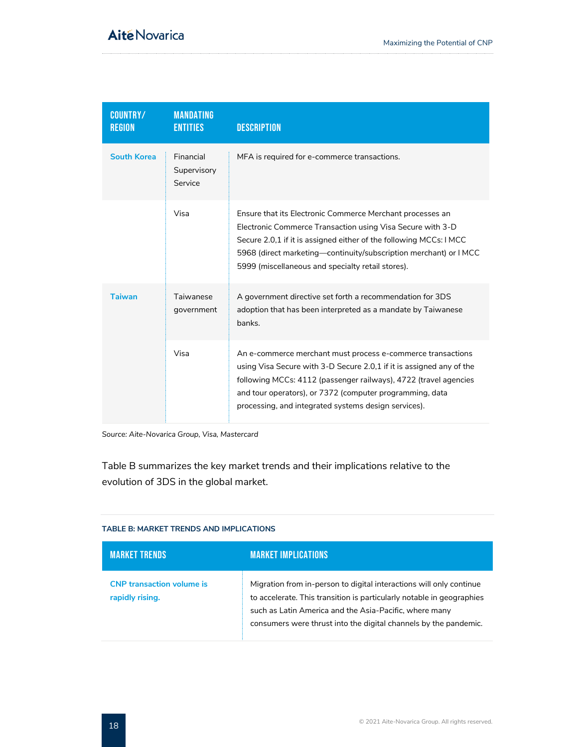| <b>COUNTRY/</b><br><b>REGION</b> | <b>MANDATING</b><br><b>ENTITIES</b> | <b>DESCRIPTION</b>                                                                                                                                                                                                                                                                                                          |
|----------------------------------|-------------------------------------|-----------------------------------------------------------------------------------------------------------------------------------------------------------------------------------------------------------------------------------------------------------------------------------------------------------------------------|
| <b>South Korea</b>               | Financial<br>Supervisory<br>Service | MFA is required for e-commerce transactions.                                                                                                                                                                                                                                                                                |
|                                  | Visa                                | Ensure that its Electronic Commerce Merchant processes an<br>Electronic Commerce Transaction using Visa Secure with 3-D<br>Secure 2.0.1 if it is assigned either of the following MCCs: I MCC<br>5968 (direct marketing—continuity/subscription merchant) or IMCC<br>5999 (miscellaneous and specialty retail stores).      |
| <b>Taiwan</b>                    | Taiwanese<br>government             | A government directive set forth a recommendation for 3DS<br>adoption that has been interpreted as a mandate by Taiwanese<br>banks.                                                                                                                                                                                         |
|                                  | Visa                                | An e-commerce merchant must process e-commerce transactions<br>using Visa Secure with 3-D Secure 2.0,1 if it is assigned any of the<br>following MCCs: 4112 (passenger railways), 4722 (travel agencies<br>and tour operators), or 7372 (computer programming, data<br>processing, and integrated systems design services). |

*Source: Aite-Novarica Group, Visa, Mastercard*

Table B summarizes the key market trends and their implications relative to the evolution of 3DS in the global market.

### <span id="page-18-0"></span>**TABLE B: MARKET TRENDS AND IMPLICATIONS**

| <b>MARKET TRENDS</b>                                | <b>MARKET IMPLICATIONS</b>                                                                                                                                                                                                                                                 |
|-----------------------------------------------------|----------------------------------------------------------------------------------------------------------------------------------------------------------------------------------------------------------------------------------------------------------------------------|
| <b>CNP</b> transaction volume is<br>rapidly rising. | Migration from in-person to digital interactions will only continue<br>to accelerate. This transition is particularly notable in geographies<br>such as Latin America and the Asia-Pacific, where many<br>consumers were thrust into the digital channels by the pandemic. |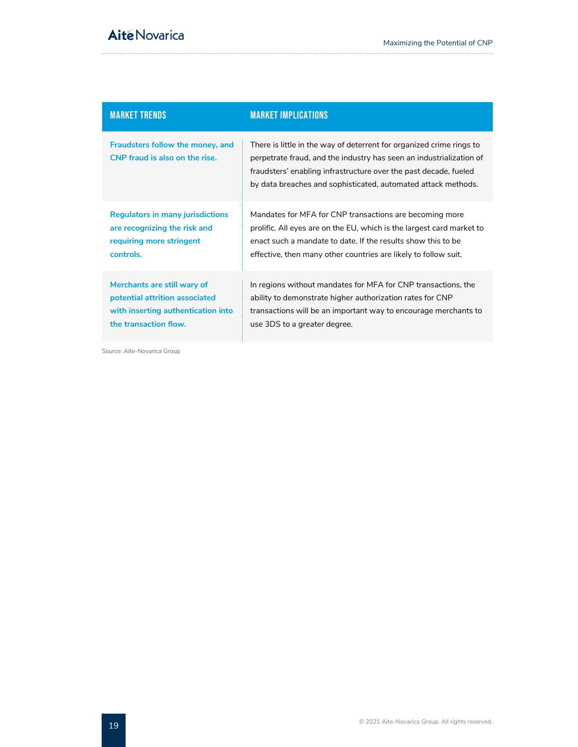| <b>MARKET TRENDS</b>                                               | <b>MARKET IMPLICATIONS</b>                                                                                                                                                                                                                                                       |
|--------------------------------------------------------------------|----------------------------------------------------------------------------------------------------------------------------------------------------------------------------------------------------------------------------------------------------------------------------------|
| Fraudsters follow the money, and<br>CNP fraud is also on the rise. | There is little in the way of deterrent for organized crime rings to<br>perpetrate fraud, and the industry has seen an industrialization of<br>fraudsters' enabling infrastructure over the past decade, fueled<br>by data breaches and sophisticated, automated attack methods. |
| <b>Regulators in many jurisdictions</b>                            | Mandates for MFA for CNP transactions are becoming more                                                                                                                                                                                                                          |
| are recognizing the risk and                                       | prolific. All eyes are on the EU, which is the largest card market to                                                                                                                                                                                                            |
| requiring more stringent                                           | enact such a mandate to date. If the results show this to be                                                                                                                                                                                                                     |
| controls.                                                          | effective, then many other countries are likely to follow suit.                                                                                                                                                                                                                  |
| Merchants are still wary of                                        | In regions without mandates for MFA for CNP transactions, the                                                                                                                                                                                                                    |
| potential attrition associated                                     | ability to demonstrate higher authorization rates for CNP                                                                                                                                                                                                                        |
| with inserting authentication into                                 | transactions will be an important way to encourage merchants to                                                                                                                                                                                                                  |
| the transaction flow.                                              | use 3DS to a greater degree.                                                                                                                                                                                                                                                     |

Source: Aite-Novarica Group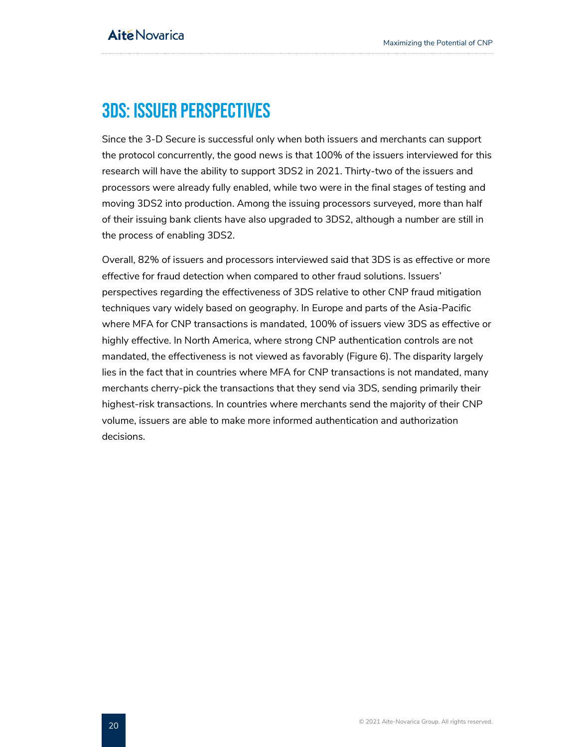## <span id="page-20-0"></span>3DS: Issuer Perspectives

Since the 3-D Secure is successful only when both issuers and merchants can support the protocol concurrently, the good news is that 100% of the issuers interviewed for this research will have the ability to support 3DS2 in 2021. Thirty-two of the issuers and processors were already fully enabled, while two were in the final stages of testing and moving 3DS2 into production. Among the issuing processors surveyed, more than half of their issuing bank clients have also upgraded to 3DS2, although a number are still in the process of enabling 3DS2.

Overall, 82% of issuers and processors interviewed said that 3DS is as effective or more effective for fraud detection when compared to other fraud solutions. Issuers' perspectives regarding the effectiveness of 3DS relative to other CNP fraud mitigation techniques vary widely based on geography. In Europe and parts of the Asia-Pacific where MFA for CNP transactions is mandated, 100% of issuers view 3DS as effective or highly effective. In North America, where strong CNP authentication controls are not mandated, the effectiveness is not viewed as favorably [\(Figure 6\)](#page-21-0). The disparity largely lies in the fact that in countries where MFA for CNP transactions is not mandated, many merchants cherry-pick the transactions that they send via 3DS, sending primarily their highest-risk transactions. In countries where merchants send the majority of their CNP volume, issuers are able to make more informed authentication and authorization decisions.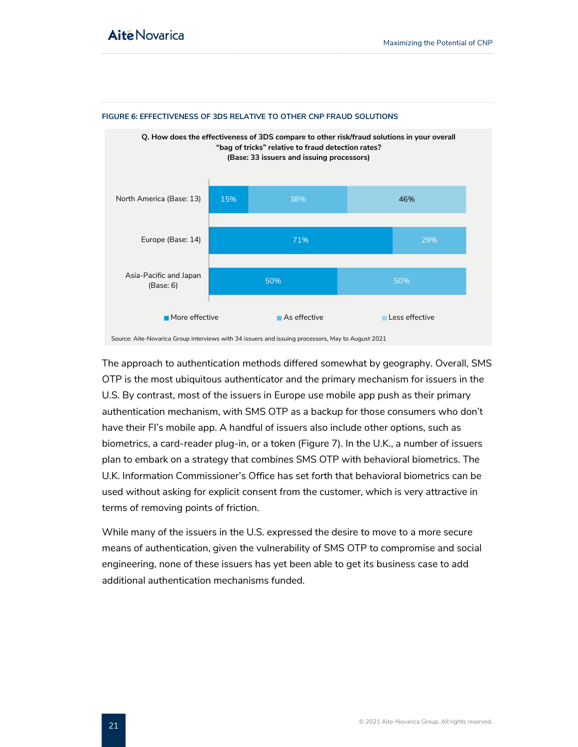

#### <span id="page-21-0"></span>**FIGURE 6: EFFECTIVENESS OF 3DS RELATIVE TO OTHER CNP FRAUD SOLUTIONS**

The approach to authentication methods differed somewhat by geography. Overall, SMS OTP is the most ubiquitous authenticator and the primary mechanism for issuers in the U.S. By contrast, most of the issuers in Europe use mobile app push as their primary authentication mechanism, with SMS OTP as a backup for those consumers who don't have their FI's mobile app. A handful of issuers also include other options, such as biometrics, a card-reader plug-in, or a token (Figure 7). In the U.K., a number of issuers plan to embark on a strategy that combines SMS OTP with behavioral biometrics. The U.K. Information Commissioner's Office has set forth that behavioral biometrics can be used without asking for explicit consent from the customer, which is very attractive in terms of removing points of friction.

While many of the issuers in the U.S. expressed the desire to move to a more secure means of authentication, given the vulnerability of SMS OTP to compromise and social engineering, none of these issuers has yet been able to get its business case to add additional authentication mechanisms funded.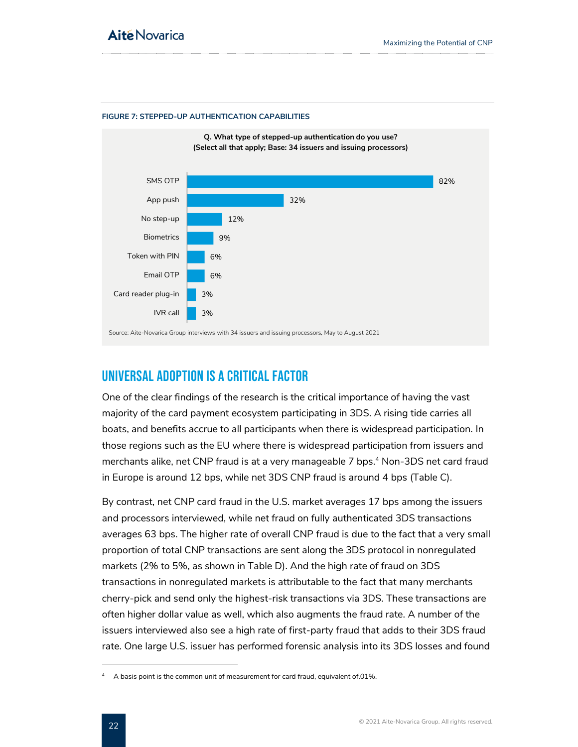<span id="page-22-1"></span>



### <span id="page-22-0"></span>Universal Adoption is a Critical Factor

One of the clear findings of the research is the critical importance of having the vast majority of the card payment ecosystem participating in 3DS. A rising tide carries all boats, and benefits accrue to all participants when there is widespread participation. In those regions such as the EU where there is widespread participation from issuers and merchants alike, net CNP fraud is at a very manageable 7 bps.<sup>4</sup> Non-3DS net card fraud in Europe is around 12 bps, while net 3DS CNP fraud is around 4 bps [\(Table C\)](#page-23-0).

By contrast, net CNP card fraud in the U.S. market averages 17 bps among the issuers and processors interviewed, while net fraud on fully authenticated 3DS transactions averages 63 bps. The higher rate of overall CNP fraud is due to the fact that a very small proportion of total CNP transactions are sent along the 3DS protocol in nonregulated markets (2% to 5%, as shown in [Table D\)](#page-23-1). And the high rate of fraud on 3DS transactions in nonregulated markets is attributable to the fact that many merchants cherry-pick and send only the highest-risk transactions via 3DS. These transactions are often higher dollar value as well, which also augments the fraud rate. A number of the issuers interviewed also see a high rate of first-party fraud that adds to their 3DS fraud rate. One large U.S. issuer has performed forensic analysis into its 3DS losses and found

 $4$  A basis point is the common unit of measurement for card fraud, equivalent of.01%.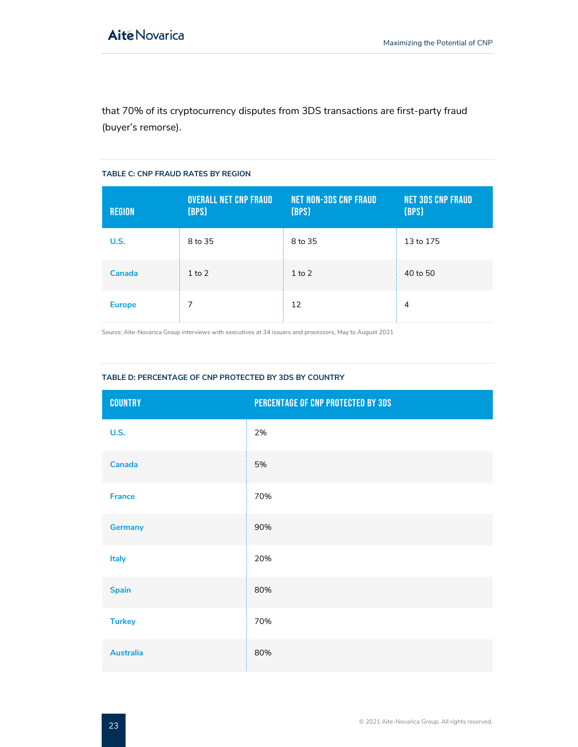that 70% of its cryptocurrency disputes from 3DS transactions are first-party fraud (buyer's remorse).

#### <span id="page-23-0"></span>**TABLE C: CNP FRAUD RATES BY REGION**

| <b>REGION</b> | <b>OVERALL NET CNP FRAUD</b><br>[BPS] | <b>NET NON-3DS CNP FRAUD</b><br>[BPS] | <b>NET 3DS CNP FRAUD</b><br>[BPS] |
|---------------|---------------------------------------|---------------------------------------|-----------------------------------|
| U.S.          | 8 to 35                               | 8 to 35                               | 13 to 175                         |
| Canada        | $1$ to $2$                            | $1$ to $2$                            | 40 to 50                          |
| <b>Europe</b> | 7                                     | 12                                    | 4                                 |

Source: Aite-Novarica Group interviews with executives at 34 issuers and processors, May to August 2021

#### <span id="page-23-1"></span>**TABLE D: PERCENTAGE OF CNP PROTECTED BY 3DS BY COUNTRY**

| <b>COUNTRY</b>   | PERCENTAGE OF CNP PROTECTED BY 3DS |
|------------------|------------------------------------|
| <b>U.S.</b>      | 2%                                 |
| Canada           | 5%                                 |
| <b>France</b>    | 70%                                |
| <b>Germany</b>   | 90%                                |
| Italy            | 20%                                |
| <b>Spain</b>     | 80%                                |
| <b>Turkey</b>    | 70%                                |
| <b>Australia</b> | 80%                                |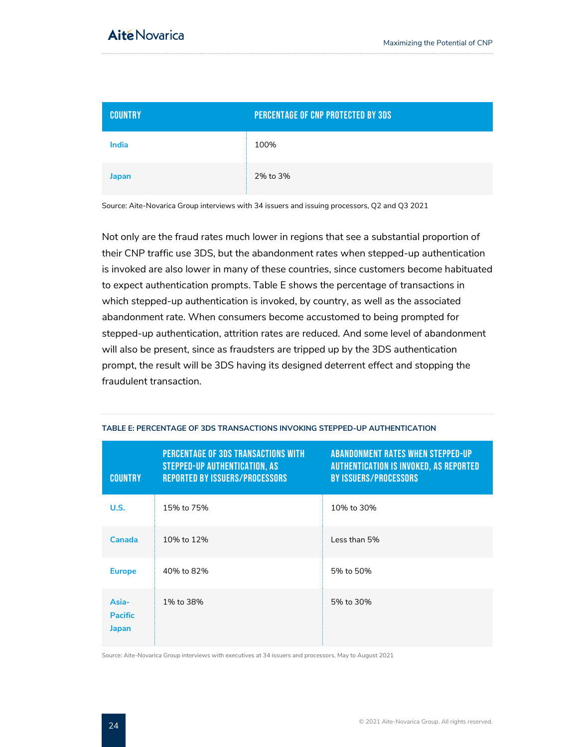| <b>COUNTRY</b> | PERCENTAGE OF CNP PROTECTED BY 3DS |  |
|----------------|------------------------------------|--|
| <b>India</b>   | 100%                               |  |
| Japan          | 2% to 3%                           |  |

Source: Aite-Novarica Group interviews with 34 issuers and issuing processors, Q2 and Q3 2021

Not only are the fraud rates much lower in regions that see a substantial proportion of their CNP traffic use 3DS, but the abandonment rates when stepped-up authentication is invoked are also lower in many of these countries, since customers become habituated to expect authentication prompts. [Table E](#page-24-0) shows the percentage of transactions in which stepped-up authentication is invoked, by country, as well as the associated abandonment rate. When consumers become accustomed to being prompted for stepped-up authentication, attrition rates are reduced. And some level of abandonment will also be present, since as fraudsters are tripped up by the 3DS authentication prompt, the result will be 3DS having its designed deterrent effect and stopping the fraudulent transaction.

| <b>COUNTRY</b>                   | <b>PERCENTAGE OF 3DS TRANSACTIONS WITH</b><br><b>STEPPED-UP AUTHENTICATION, AS</b><br><b>REPORTED BY ISSUERS/PROCESSORS</b> | <b>ABANDONMENT RATES WHEN STEPPED-UP</b><br><b>AUTHENTICATION IS INVOKED, AS REPORTED</b><br><b>BY ISSUERS/PROCESSORS</b> |
|----------------------------------|-----------------------------------------------------------------------------------------------------------------------------|---------------------------------------------------------------------------------------------------------------------------|
| U.S.                             | 15% to 75%                                                                                                                  | 10% to 30%                                                                                                                |
| Canada                           | 10% to 12%                                                                                                                  | Less than 5%                                                                                                              |
| <b>Europe</b>                    | 40% to 82%                                                                                                                  | 5% to 50%                                                                                                                 |
| Asia-<br><b>Pacific</b><br>Japan | 1% to 38%                                                                                                                   | 5% to 30%                                                                                                                 |

#### <span id="page-24-0"></span>**TABLE E: PERCENTAGE OF 3DS TRANSACTIONS INVOKING STEPPED-UP AUTHENTICATION**

Source: Aite-Novarica Group interviews with executives at 34 issuers and processors, May to August 2021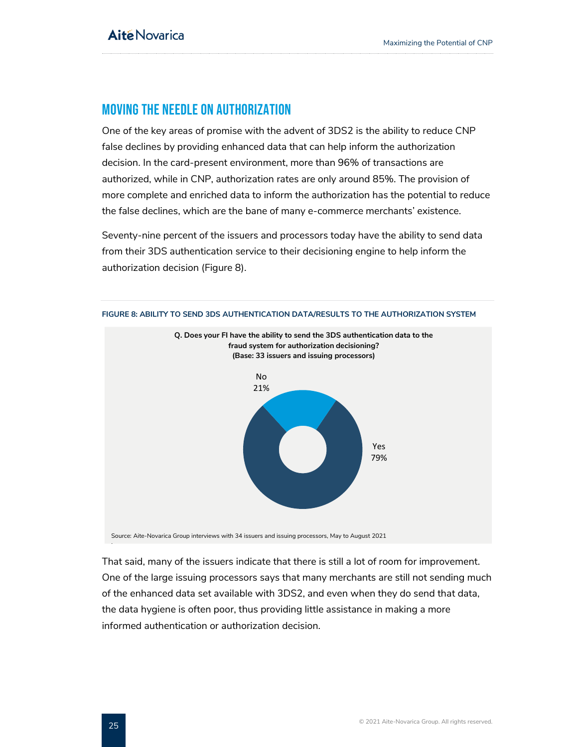### <span id="page-25-0"></span>Moving the Needle on Authorization

One of the key areas of promise with the advent of 3DS2 is the ability to reduce CNP false declines by providing enhanced data that can help inform the authorization decision. In the card-present environment, more than 96% of transactions are authorized, while in CNP, authorization rates are only around 85%. The provision of more complete and enriched data to inform the authorization has the potential to reduce the false declines, which are the bane of many e-commerce merchants' existence.

Seventy-nine percent of the issuers and processors today have the ability to send data from their 3DS authentication service to their decisioning engine to help inform the authorization decision (Figure 8).

<span id="page-25-1"></span>

Source: Aite-Novarica Group interviews with 34 issuers and issuing processors, May to August 2021

That said, many of the issuers indicate that there is still a lot of room for improvement. One of the large issuing processors says that many merchants are still not sending much of the enhanced data set available with 3DS2, and even when they do send that data, the data hygiene is often poor, thus providing little assistance in making a more informed authentication or authorization decision.

: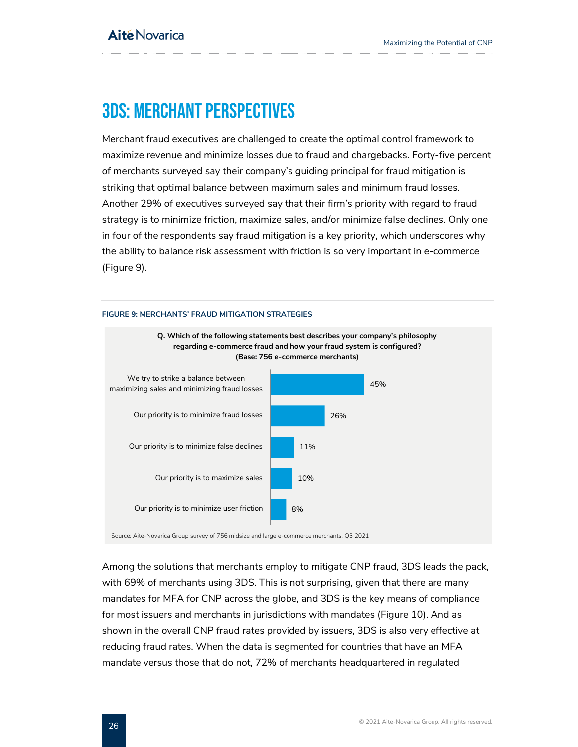## <span id="page-26-0"></span>3DS: Merchant Perspectives

Merchant fraud executives are challenged to create the optimal control framework to maximize revenue and minimize losses due to fraud and chargebacks. Forty-five percent of merchants surveyed say their company's guiding principal for fraud mitigation is striking that optimal balance between maximum sales and minimum fraud losses. Another 29% of executives surveyed say that their firm's priority with regard to fraud strategy is to minimize friction, maximize sales, and/or minimize false declines. Only one in four of the respondents say fraud mitigation is a key priority, which underscores why the ability to balance risk assessment with friction is so very important in e-commerce [\(Figure 9\)](#page-26-1).

#### <span id="page-26-1"></span>**FIGURE 9: MERCHANTS' FRAUD MITIGATION STRATEGIES**



Source: Aite-Novarica Group survey of 756 midsize and large e-commerce merchants, Q3 2021

Among the solutions that merchants employ to mitigate CNP fraud, 3DS leads the pack, with 69% of merchants using 3DS. This is not surprising, given that there are many mandates for MFA for CNP across the globe, and 3DS is the key means of compliance for most issuers and merchants in jurisdictions with mandates [\(Figure 10\)](#page-27-0). And as shown in the overall CNP fraud rates provided by issuers, 3DS is also very effective at reducing fraud rates. When the data is segmented for countries that have an MFA mandate versus those that do not, 72% of merchants headquartered in regulated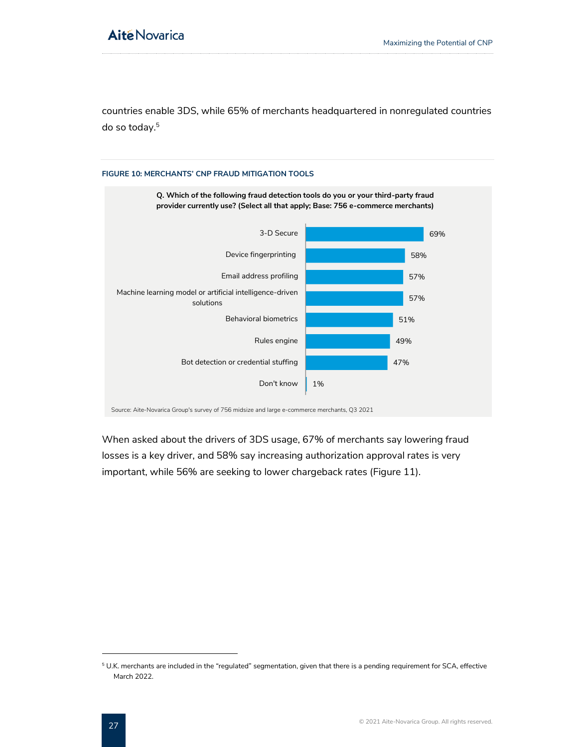countries enable 3DS, while 65% of merchants headquartered in nonregulated countries do so today.<sup>5</sup>



<span id="page-27-0"></span>**FIGURE 10: MERCHANTS' CNP FRAUD MITIGATION TOOLS**

When asked about the drivers of 3DS usage, 67% of merchants say lowering fraud losses is a key driver, and 58% say increasing authorization approval rates is very important, while 56% are seeking to lower chargeback rates (Figure 11).

<sup>5</sup> U.K. merchants are included in the "regulated" segmentation, given that there is a pending requirement for SCA, effective March 2022.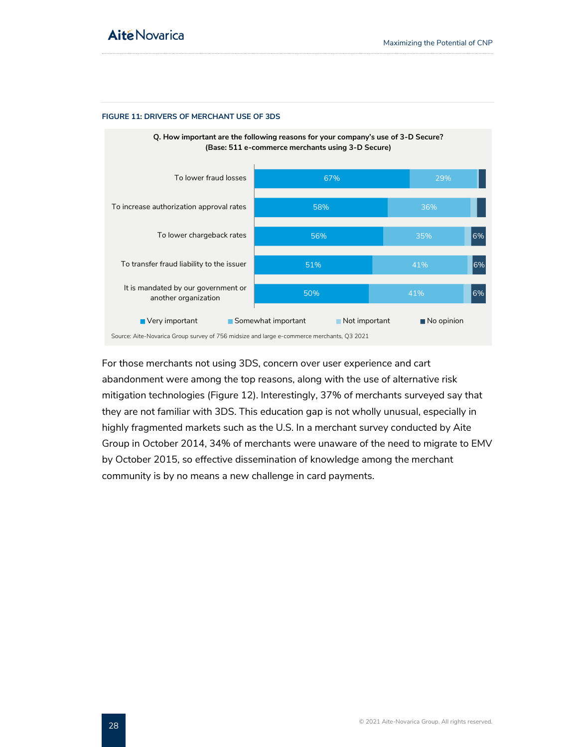#### <span id="page-28-0"></span>**FIGURE 11: DRIVERS OF MERCHANT USE OF 3DS**



For those merchants not using 3DS, concern over user experience and cart abandonment were among the top reasons, along with the use of alternative risk mitigation technologies (Figure 12). Interestingly, 37% of merchants surveyed say that they are not familiar with 3DS. This education gap is not wholly unusual, especially in highly fragmented markets such as the U.S. In a merchant survey conducted by Aite Group in October 2014, 34% of merchants were unaware of the need to migrate to EMV by October 2015, so effective dissemination of knowledge among the merchant community is by no means a new challenge in card payments.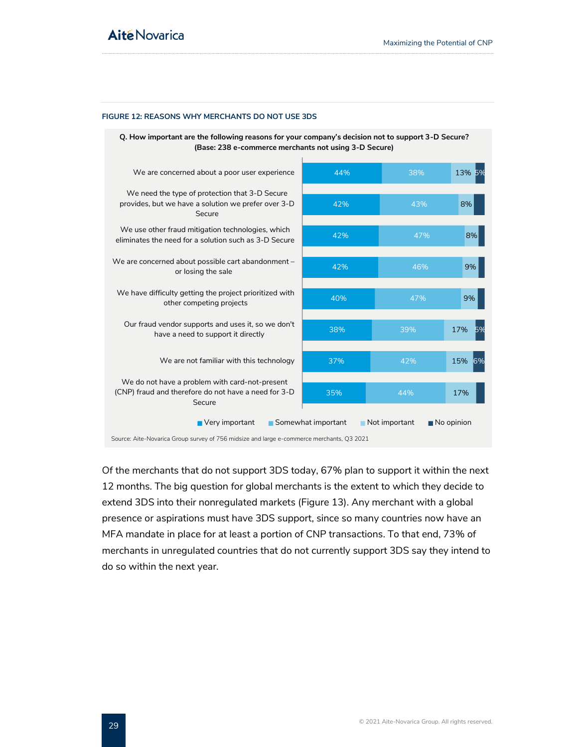#### <span id="page-29-0"></span>**FIGURE 12: REASONS WHY MERCHANTS DO NOT USE 3DS**



Of the merchants that do not support 3DS today, 67% plan to support it within the next 12 months. The big question for global merchants is the extent to which they decide to extend 3DS into their nonregulated markets [\(Figure 13\)](#page-30-0). Any merchant with a global presence or aspirations must have 3DS support, since so many countries now have an MFA mandate in place for at least a portion of CNP transactions. To that end, 73% of merchants in unregulated countries that do not currently support 3DS say they intend to do so within the next year.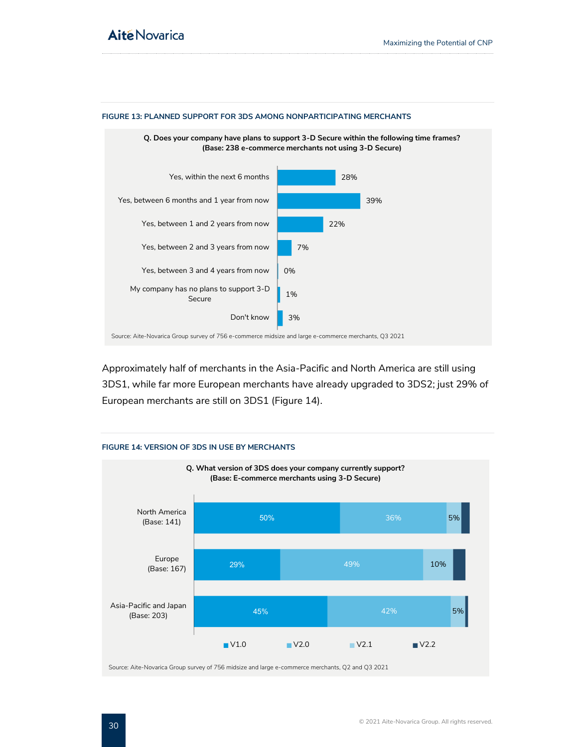

#### <span id="page-30-0"></span>**FIGURE 13: PLANNED SUPPORT FOR 3DS AMONG NONPARTICIPATING MERCHANTS**

Approximately half of merchants in the Asia-Pacific and North America are still using 3DS1, while far more European merchants have already upgraded to 3DS2; just 29% of European merchants are still on 3DS1 (Figure 14).

<span id="page-30-1"></span>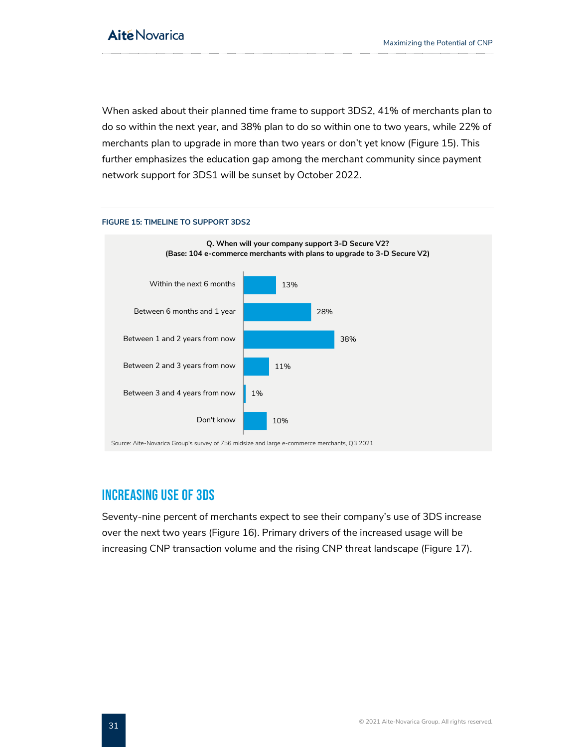When asked about their planned time frame to support 3DS2, 41% of merchants plan to do so within the next year, and 38% plan to do so within one to two years, while 22% of merchants plan to upgrade in more than two years or don't yet know (Figure 15). This further emphasizes the education gap among the merchant community since payment network support for 3DS1 will be sunset by October 2022.



### <span id="page-31-1"></span>**FIGURE 15: TIMELINE TO SUPPORT 3DS2**

Source: Aite-Novarica Group's survey of 756 midsize and large e-commerce merchants, Q3 2021

### <span id="page-31-0"></span>Increasing Use of 3DS

Seventy-nine percent of merchants expect to see their company's use of 3DS increase over the next two years (Figure 16). Primary drivers of the increased usage will be increasing CNP transaction volume and the rising CNP threat landscape (Figure 17).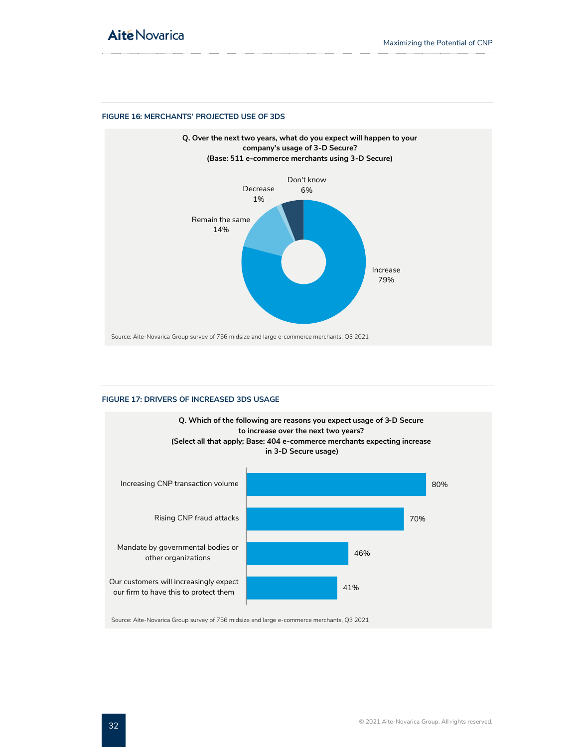#### <span id="page-32-0"></span>**FIGURE 16: MERCHANTS' PROJECTED USE OF 3DS**



#### <span id="page-32-1"></span>**FIGURE 17: DRIVERS OF INCREASED 3DS USAGE**



Source: Aite-Novarica Group survey of 756 midsize and large e-commerce merchants, Q3 2021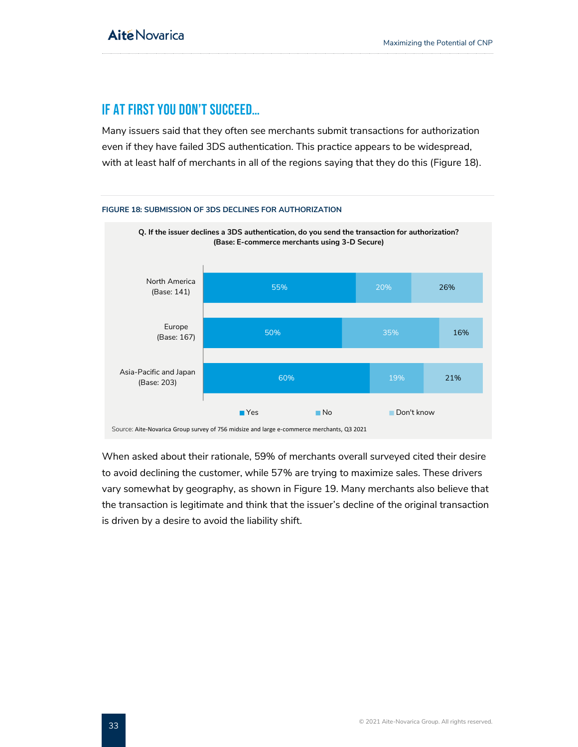### <span id="page-33-0"></span>If At First You Don't Succeed…

Many issuers said that they often see merchants submit transactions for authorization even if they have failed 3DS authentication. This practice appears to be widespread, with at least half of merchants in all of the regions saying that they do this (Figure 18).

<span id="page-33-1"></span>

When asked about their rationale, 59% of merchants overall surveyed cited their desire to avoid declining the customer, while 57% are trying to maximize sales. These drivers vary somewhat by geography, as shown in Figure 19. Many merchants also believe that the transaction is legitimate and think that the issuer's decline of the original transaction is driven by a desire to avoid the liability shift.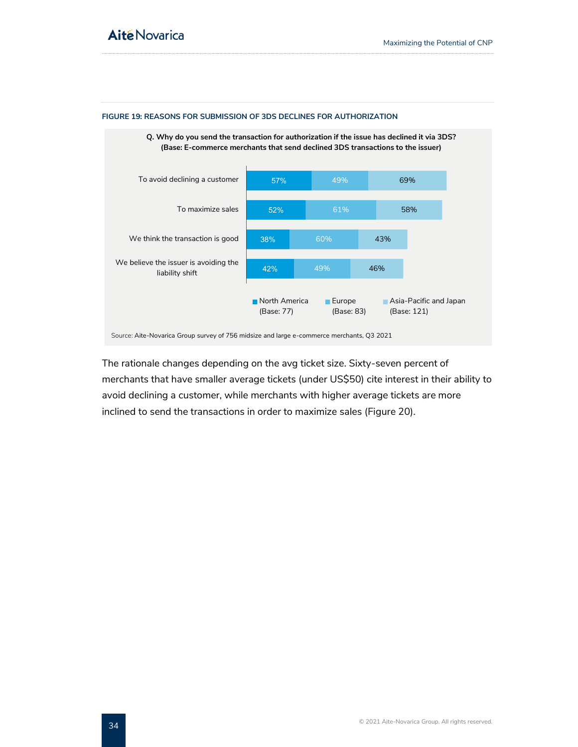

#### <span id="page-34-0"></span>**FIGURE 19: REASONS FOR SUBMISSION OF 3DS DECLINES FOR AUTHORIZATION**

The rationale changes depending on the avg ticket size. Sixty-seven percent of merchants that have smaller average tickets (under US\$50) cite interest in their ability to avoid declining a customer, while merchants with higher average tickets are more inclined to send the transactions in order to maximize sales [\(Figure 20\)](#page-35-0).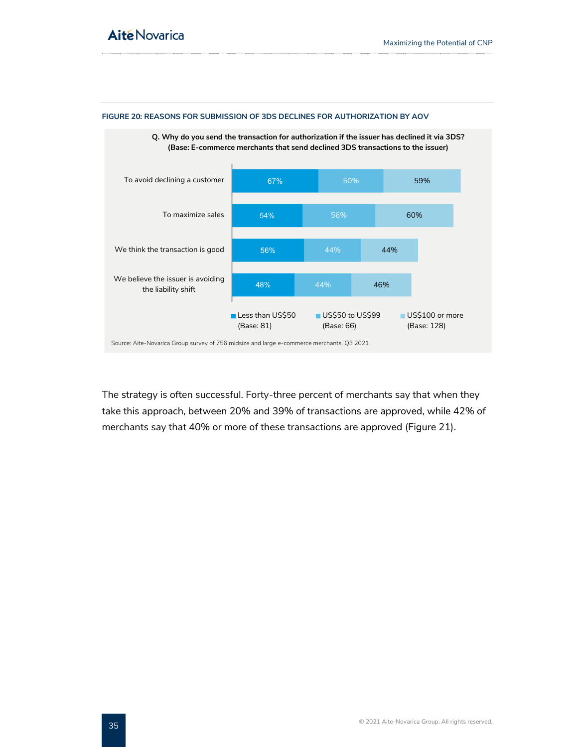

#### <span id="page-35-0"></span>**FIGURE 20: REASONS FOR SUBMISSION OF 3DS DECLINES FOR AUTHORIZATION BY AOV**

The strategy is often successful. Forty-three percent of merchants say that when they take this approach, between 20% and 39% of transactions are approved, while 42% of merchants say that 40% or more of these transactions are approved (Figure 21).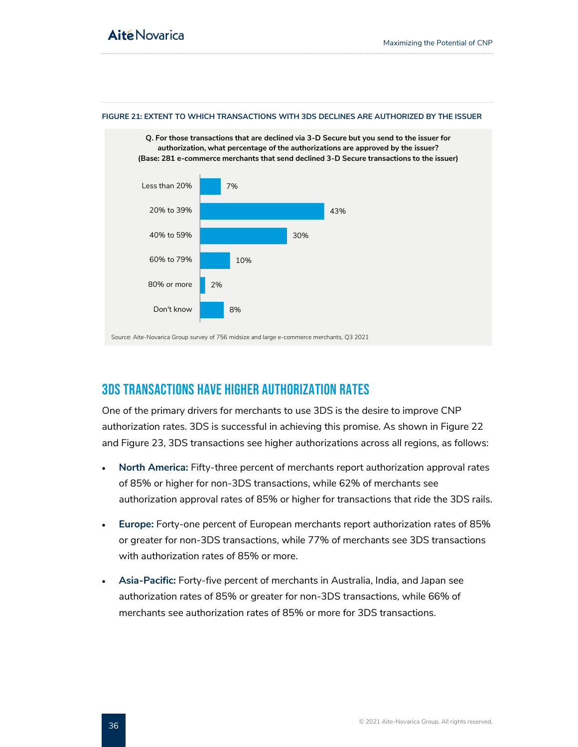

#### <span id="page-36-1"></span>**FIGURE 21: EXTENT TO WHICH TRANSACTIONS WITH 3DS DECLINES ARE AUTHORIZED BY THE ISSUER**

### <span id="page-36-0"></span>3DS Transactions Have Higher Authorization Rates

One of the primary drivers for merchants to use 3DS is the desire to improve CNP authorization rates. 3DS is successful in achieving this promise. As shown in Figure 22 and Figure 23, 3DS transactions see higher authorizations across all regions, as follows:

- **North America:** Fifty-three percent of merchants report authorization approval rates of 85% or higher for non-3DS transactions, while 62% of merchants see authorization approval rates of 85% or higher for transactions that ride the 3DS rails.
- **Europe:** Forty-one percent of European merchants report authorization rates of 85% or greater for non-3DS transactions, while 77% of merchants see 3DS transactions with authorization rates of 85% or more.
- **Asia-Pacific:** Forty-five percent of merchants in Australia, India, and Japan see authorization rates of 85% or greater for non-3DS transactions, while 66% of merchants see authorization rates of 85% or more for 3DS transactions.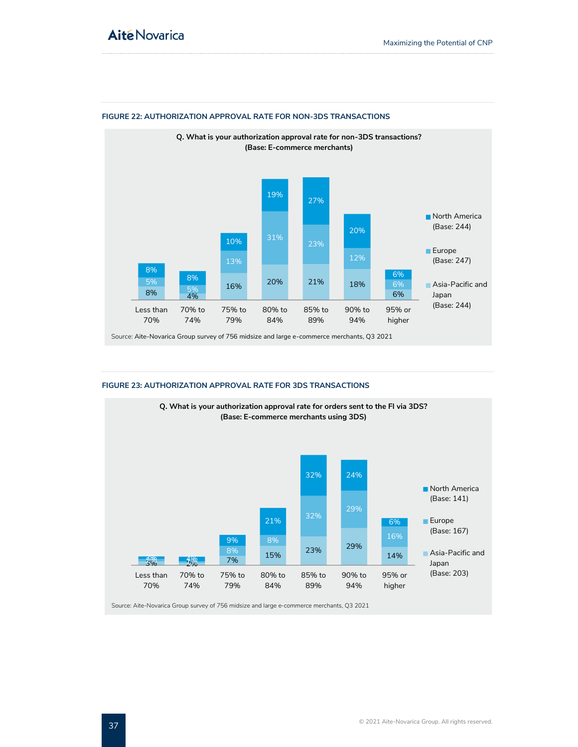

#### <span id="page-37-0"></span>**FIGURE 22: AUTHORIZATION APPROVAL RATE FOR NON-3DS TRANSACTIONS**

#### <span id="page-37-1"></span>**FIGURE 23: AUTHORIZATION APPROVAL RATE FOR 3DS TRANSACTIONS**



Source: Aite-Novarica Group survey of 756 midsize and large e-commerce merchants, Q3 2021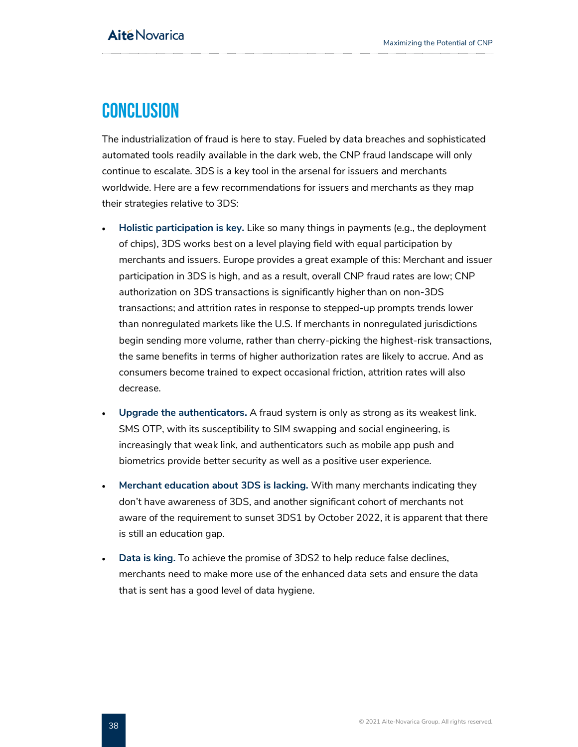## <span id="page-38-0"></span>**CONCLUSION**

The industrialization of fraud is here to stay. Fueled by data breaches and sophisticated automated tools readily available in the dark web, the CNP fraud landscape will only continue to escalate. 3DS is a key tool in the arsenal for issuers and merchants worldwide. Here are a few recommendations for issuers and merchants as they map their strategies relative to 3DS:

- **Holistic participation is key.** Like so many things in payments (e.g., the deployment of chips), 3DS works best on a level playing field with equal participation by merchants and issuers. Europe provides a great example of this: Merchant and issuer participation in 3DS is high, and as a result, overall CNP fraud rates are low; CNP authorization on 3DS transactions is significantly higher than on non-3DS transactions; and attrition rates in response to stepped-up prompts trends lower than nonregulated markets like the U.S. If merchants in nonregulated jurisdictions begin sending more volume, rather than cherry-picking the highest-risk transactions, the same benefits in terms of higher authorization rates are likely to accrue. And as consumers become trained to expect occasional friction, attrition rates will also decrease.
- **Upgrade the authenticators.** A fraud system is only as strong as its weakest link. SMS OTP, with its susceptibility to SIM swapping and social engineering, is increasingly that weak link, and authenticators such as mobile app push and biometrics provide better security as well as a positive user experience.
- **Merchant education about 3DS is lacking.** With many merchants indicating they don't have awareness of 3DS, and another significant cohort of merchants not aware of the requirement to sunset 3DS1 by October 2022, it is apparent that there is still an education gap.
- **Data is king.** To achieve the promise of 3DS2 to help reduce false declines, merchants need to make more use of the enhanced data sets and ensure the data that is sent has a good level of data hygiene.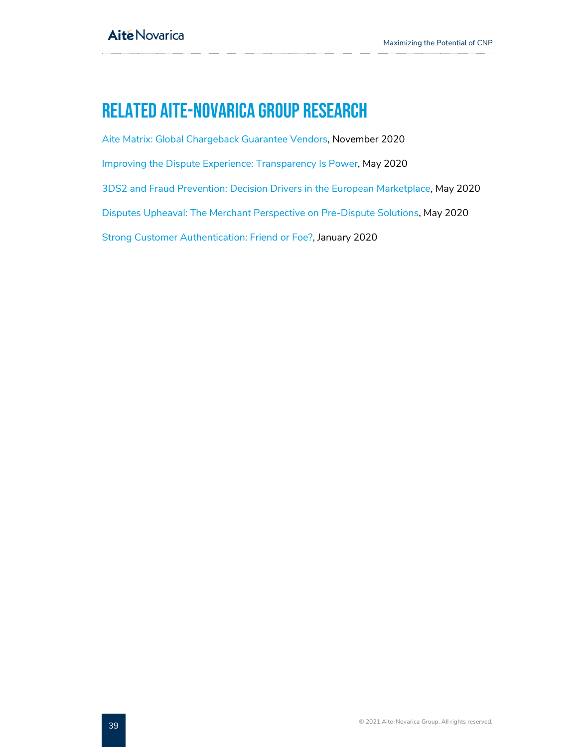## <span id="page-39-0"></span>Related Aite-Novarica Group Research

[Aite Matrix: Global Chargeback Guarantee Vendors,](http://aitegroup.com/) November 2020 [Improving the Dispute Experience: Transparency Is Power,](https://aite-novarica.com/report/improving-dispute-experience-transparency-power) May 2020 [3DS2 and Fraud Prevention: Decision Drivers in the European Marketplace,](https://aite-novarica.com/report/3ds2-and-fraud-prevention-decision-drivers-european-marketplace) May 2020 [Disputes Upheaval: The Merchant Perspective on Pre-Dispute Solutions,](https://aite-novarica.com/report/disputes-upheaval-merchant-perspective-pre-dispute-solutions) May 2020 [Strong Customer Authentication: Friend or Foe?,](https://aite-novarica.com/report/strong-customer-authentication-friend-or-foe) January 2020